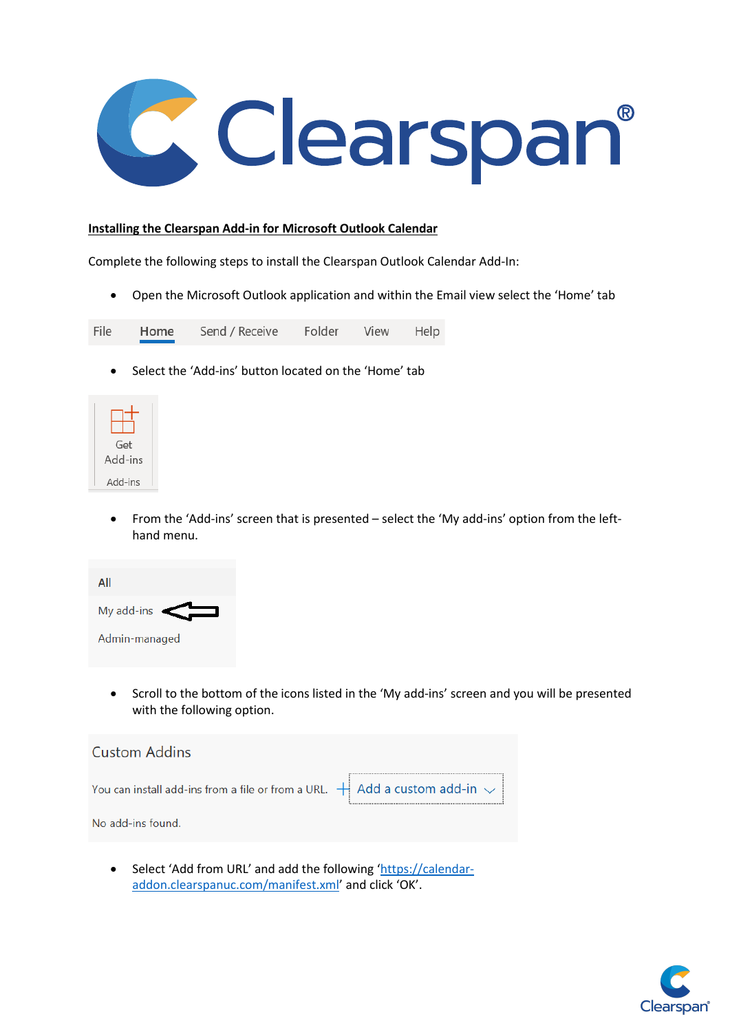

## **Installing the Clearspan Add-in for Microsoft Outlook Calendar**

Complete the following steps to install the Clearspan Outlook Calendar Add-In:

• Open the Microsoft Outlook application and within the Email view select the 'Home' tab

File Home Send / Receive Folder View Help

• Select the 'Add-ins' button located on the 'Home' tab



• From the 'Add-ins' screen that is presented – select the 'My add-ins' option from the lefthand menu.

| ΑII           |              |  |  |  |  |  |  |  |
|---------------|--------------|--|--|--|--|--|--|--|
| My add-ins    | $\leftarrow$ |  |  |  |  |  |  |  |
| Admin-managed |              |  |  |  |  |  |  |  |

• Scroll to the bottom of the icons listed in the 'My add-ins' screen and you will be presented with the following option.



• Select 'Add from URL' and add the following ['https://calendar](https://calendar-addon.clearspanuc.com/manifest.xml)[addon.clearspanuc.com/manifest.xml'](https://calendar-addon.clearspanuc.com/manifest.xml) and click 'OK'.

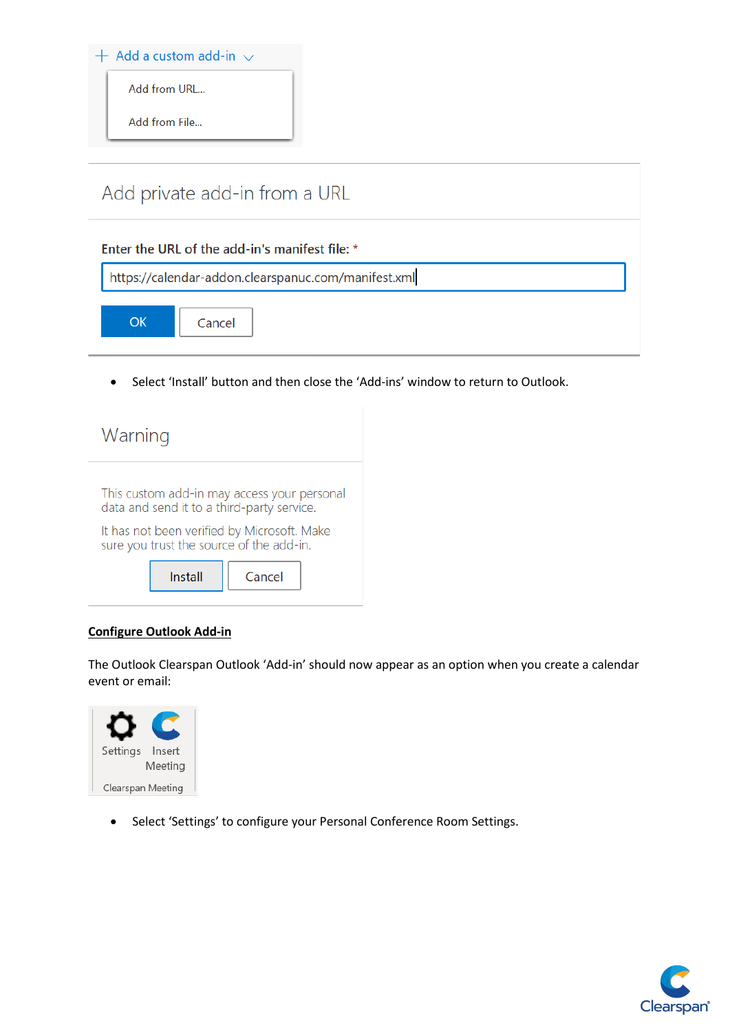

• Select 'Install' button and then close the 'Add-ins' window to return to Outlook.

| Warning                                                                                   |  |  |  |  |  |  |  |  |
|-------------------------------------------------------------------------------------------|--|--|--|--|--|--|--|--|
| This custom add-in may access your personal<br>data and send it to a third-party service. |  |  |  |  |  |  |  |  |
| It has not been verified by Microsoft. Make<br>sure you trust the source of the add-in.   |  |  |  |  |  |  |  |  |
| Install<br>Cancel                                                                         |  |  |  |  |  |  |  |  |

## **Configure Outlook Add-in**

The Outlook Clearspan Outlook 'Add-in' should now appear as an option when you create a calendar event or email:



• Select 'Settings' to configure your Personal Conference Room Settings.